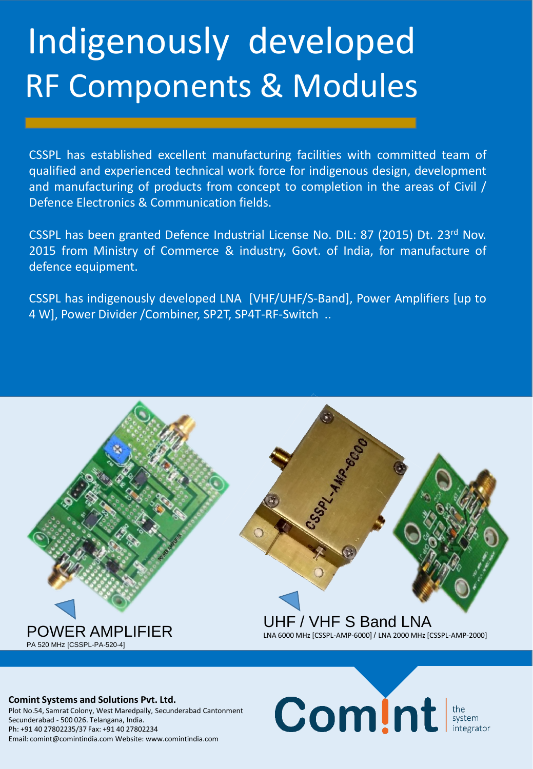# Indigenously developed RF Components & Modules

CSSPL has established excellent manufacturing facilities with committed team of qualified and experienced technical work force for indigenous design, development and manufacturing of products from concept to completion in the areas of Civil / Defence Electronics & Communication fields.

CSSPL has been granted Defence Industrial License No. DIL: 87 (2015) Dt. 23rd Nov. 2015 from Ministry of Commerce & industry, Govt. of India, for manufacture of defence equipment.

CSSPL has indigenously developed LNA [VHF/UHF/S-Band], Power Amplifiers [up to 4 W], Power Divider /Combiner, SP2T, SP4T-RF-Switch ..



Comint system

#### **Comint Systems and Solutions Pvt. Ltd.**

Plot No.54, Samrat Colony, West Maredpally, Secunderabad Cantonment Secunderabad - 500 026. Telangana, India. Ph: +91 40 27802235/37 Fax: +91 40 27802234 Email: comint@comintindia.com Website: www.comintindia.com